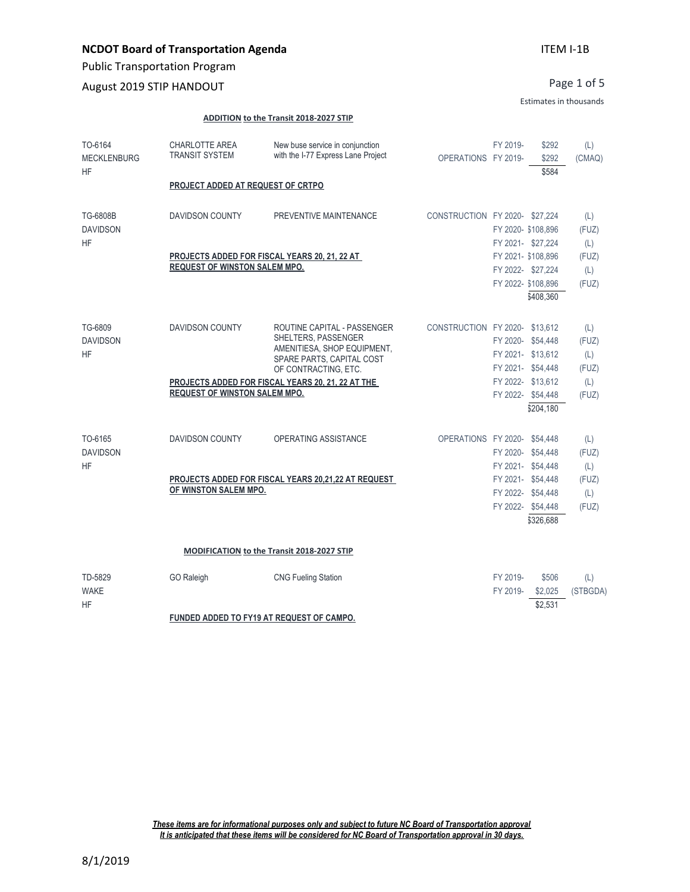Public Transportation Program

August 2019 STIP HANDOUT

Page 1 of 5

#### Estimates in thousands

#### **ADDITION to the Transit 2018-2027 STIP**

| TO-6164<br><b>MECKLENBURG</b><br><b>HF</b> | <b>CHARLOTTE AREA</b><br><b>TRANSIT SYSTEM</b> | New buse service in conjunction<br>with the I-77 Express Lane Project | OPERATIONS FY 2019-           | FY 2019-           | \$292<br>\$292<br>\$584 | (L)<br>(CMAQ) |
|--------------------------------------------|------------------------------------------------|-----------------------------------------------------------------------|-------------------------------|--------------------|-------------------------|---------------|
|                                            | PROJECT ADDED AT REQUEST OF CRTPO              |                                                                       |                               |                    |                         |               |
| TG-6808B                                   | <b>DAVIDSON COUNTY</b>                         | PREVENTIVE MAINTENANCE                                                | CONSTRUCTION FY 2020-\$27,224 |                    |                         | (L)           |
| <b>DAVIDSON</b>                            |                                                |                                                                       |                               | FY 2020- \$108,896 |                         | (FUZ)         |
| <b>HF</b>                                  |                                                |                                                                       |                               | FY 2021- \$27,224  |                         | (L)           |
|                                            |                                                | PROJECTS ADDED FOR FISCAL YEARS 20, 21, 22 AT                         |                               | FY 2021- \$108,896 |                         | (FUZ)         |
|                                            | <b>REQUEST OF WINSTON SALEM MPO.</b>           |                                                                       |                               | FY 2022- \$27,224  |                         | (L)           |
|                                            |                                                |                                                                       |                               | FY 2022- \$108,896 |                         | (FUZ)         |
|                                            |                                                |                                                                       |                               |                    | \$408,360               |               |
| TG-6809                                    | <b>DAVIDSON COUNTY</b>                         | ROUTINE CAPITAL - PASSENGER                                           | CONSTRUCTION FY 2020-\$13,612 |                    |                         | (L)           |
| <b>DAVIDSON</b>                            |                                                | SHELTERS, PASSENGER                                                   |                               | FY 2020- \$54,448  |                         | (FUZ)         |
| <b>HF</b>                                  |                                                | AMENITIESA, SHOP EQUIPMENT,<br>SPARE PARTS, CAPITAL COST              |                               | FY 2021- \$13,612  |                         | (L)           |
|                                            |                                                | OF CONTRACTING, ETC.                                                  |                               | FY 2021- \$54,448  |                         | (FUZ)         |
|                                            |                                                | PROJECTS ADDED FOR FISCAL YEARS 20, 21, 22 AT THE                     |                               | FY 2022- \$13,612  |                         | (L)           |
|                                            | <b>REQUEST OF WINSTON SALEM MPO.</b>           |                                                                       |                               | FY 2022- \$54,448  |                         | (FUZ)         |
|                                            |                                                |                                                                       |                               |                    | \$204,180               |               |
| TO-6165                                    | <b>DAVIDSON COUNTY</b>                         | <b>OPERATING ASSISTANCE</b>                                           | OPERATIONS FY 2020- \$54,448  |                    |                         | (L)           |
| <b>DAVIDSON</b>                            |                                                |                                                                       |                               | FY 2020- \$54,448  |                         | (FUZ)         |
| <b>HF</b>                                  |                                                |                                                                       |                               | FY 2021- \$54,448  |                         | (L)           |
|                                            |                                                | PROJECTS ADDED FOR FISCAL YEARS 20,21,22 AT REQUEST                   |                               | FY 2021- \$54,448  |                         | (FUZ)         |
|                                            | OF WINSTON SALEM MPO.                          |                                                                       |                               | FY 2022- \$54,448  |                         | (L)           |
|                                            |                                                |                                                                       |                               | FY 2022- \$54,448  |                         | (FUZ)         |
|                                            |                                                |                                                                       |                               |                    | \$326,688               |               |
|                                            |                                                | MODIFICATION to the Transit 2018-2027 STIP                            |                               |                    |                         |               |
| TD-5829                                    | <b>GO Raleigh</b>                              | <b>CNG Fueling Station</b>                                            |                               | FY 2019-           | \$506                   | (L)           |
| <b>WAKE</b>                                |                                                |                                                                       |                               | FY 2019-           | \$2,025                 | (STBGDA)      |
| <b>HF</b>                                  |                                                |                                                                       |                               |                    | \$2,531                 |               |
|                                            |                                                | FUNDED ADDED TO FY19 AT REQUEST OF CAMPO.                             |                               |                    |                         |               |

*These items are for informational purposes only and subject to future NC Board of Transportation approval It is anticipated that these items will be considered for NC Board of Transportation approval in 30 days.*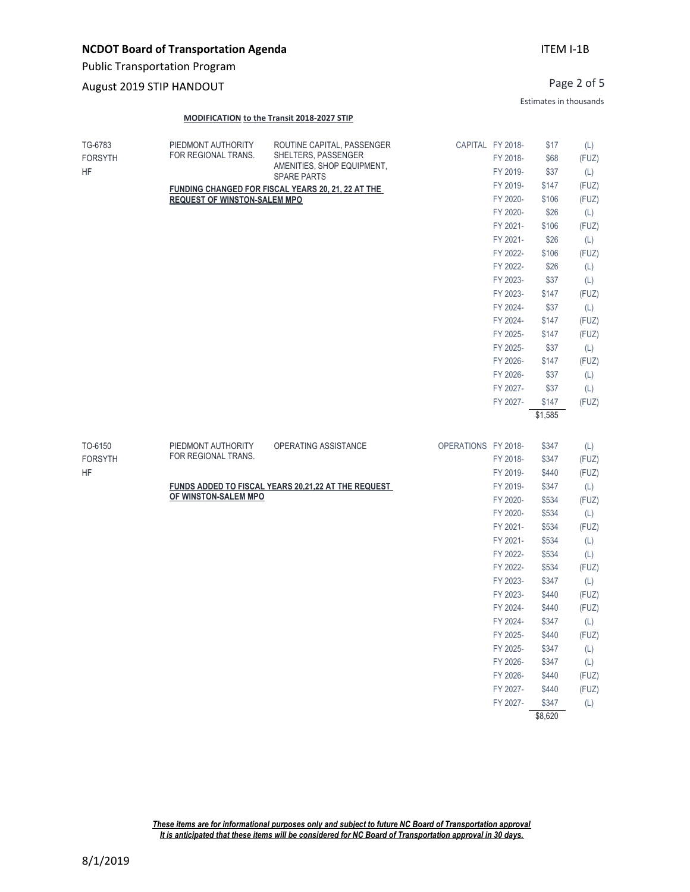Public Transportation Program

### August 2019 STIP HANDOUT

#### **MODIFICATION to the Transit 2018-2027 STIP**

| TG-6783<br><b>FORSYTH</b><br><b>HF</b> | PIEDMONT AUTHORITY<br>FOR REGIONAL TRANS. | ROUTINE CAPITAL, PASSENGER<br>SHELTERS, PASSENGER<br>AMENITIES, SHOP EQUIPMENT,<br><b>SPARE PARTS</b> |                     | CAPITAL FY 2018-<br>FY 2018-<br>FY 2019- | \$17<br>\$68<br>\$37 | (L)<br>(FUZ)<br>(L) |
|----------------------------------------|-------------------------------------------|-------------------------------------------------------------------------------------------------------|---------------------|------------------------------------------|----------------------|---------------------|
|                                        |                                           | FUNDING CHANGED FOR FISCAL YEARS 20, 21, 22 AT THE                                                    |                     | FY 2019-                                 | \$147                | (FUZ)               |
|                                        | <b>REQUEST OF WINSTON-SALEM MPO</b>       |                                                                                                       |                     | FY 2020-                                 | \$106                | (FUZ)               |
|                                        |                                           |                                                                                                       |                     | FY 2020-                                 | \$26                 | (L)                 |
|                                        |                                           |                                                                                                       |                     | FY 2021-                                 | \$106                | (FUZ)               |
|                                        |                                           |                                                                                                       |                     | FY 2021-                                 | \$26                 | (L)                 |
|                                        |                                           |                                                                                                       |                     | FY 2022-                                 | \$106                | (FUZ)               |
|                                        |                                           |                                                                                                       |                     | FY 2022-                                 | \$26                 | (L)                 |
|                                        |                                           |                                                                                                       |                     | FY 2023-                                 | \$37                 | (L)                 |
|                                        |                                           |                                                                                                       |                     | FY 2023-                                 | \$147                | (FUZ)               |
|                                        |                                           |                                                                                                       |                     | FY 2024-                                 | \$37                 | (L)                 |
|                                        |                                           |                                                                                                       |                     | FY 2024-                                 | \$147                | (FUZ)               |
|                                        |                                           |                                                                                                       |                     | FY 2025-                                 | \$147                | (FUZ)               |
|                                        |                                           |                                                                                                       |                     | FY 2025-                                 | \$37                 | (L)                 |
|                                        |                                           |                                                                                                       |                     | FY 2026-                                 | \$147                | (FUZ)               |
|                                        |                                           |                                                                                                       |                     | FY 2026-                                 | \$37                 | (L)                 |
|                                        |                                           |                                                                                                       |                     | FY 2027-                                 | \$37                 | (L)                 |
|                                        |                                           |                                                                                                       |                     | FY 2027-                                 | \$147                | (FUZ)               |
|                                        |                                           |                                                                                                       |                     |                                          | \$1,585              |                     |
|                                        |                                           |                                                                                                       |                     |                                          |                      |                     |
| TO-6150                                | PIEDMONT AUTHORITY                        | OPERATING ASSISTANCE                                                                                  | OPERATIONS FY 2018- |                                          | \$347                | (L)                 |
| <b>FORSYTH</b>                         | FOR REGIONAL TRANS.                       |                                                                                                       |                     | FY 2018-                                 | \$347                | (FUZ)               |
| <b>HF</b>                              |                                           |                                                                                                       |                     | FY 2019-                                 | \$440                | (FUZ)               |
|                                        |                                           | FUNDS ADDED TO FISCAL YEARS 20,21,22 AT THE REQUEST                                                   |                     | FY 2019-                                 | \$347                | (L)                 |
|                                        | OF WINSTON-SALEM MPO                      |                                                                                                       |                     | FY 2020-                                 | \$534                | (FUZ)               |
|                                        |                                           |                                                                                                       |                     | FY 2020-                                 | \$534                | (L)                 |
|                                        |                                           |                                                                                                       |                     | FY 2021-                                 | \$534                | (FUZ)               |
|                                        |                                           |                                                                                                       |                     | FY 2021-                                 | \$534                | (L)                 |
|                                        |                                           |                                                                                                       |                     | FY 2022-                                 | \$534                | (L)                 |
|                                        |                                           |                                                                                                       |                     | FY 2022-                                 | \$534                | (FUZ)               |
|                                        |                                           |                                                                                                       |                     | FY 2023-                                 | \$347                | (L)                 |
|                                        |                                           |                                                                                                       |                     | FY 2023-                                 | \$440                | (FUZ)               |
|                                        |                                           |                                                                                                       |                     | FY 2024-                                 | \$440                | (FUZ)               |
|                                        |                                           |                                                                                                       |                     | FY 2024-                                 | \$347                | (L)                 |
|                                        |                                           |                                                                                                       |                     | FY 2025-                                 | \$440                | (FUZ)               |
|                                        |                                           |                                                                                                       |                     | FY 2025-                                 | \$347                | (L)                 |
|                                        |                                           |                                                                                                       |                     | FY 2026-                                 | \$347                | (L)                 |
|                                        |                                           |                                                                                                       |                     | FY 2026-                                 | \$440                | (FUZ)               |
|                                        |                                           |                                                                                                       |                     |                                          |                      |                     |
|                                        |                                           |                                                                                                       |                     | FY 2027-                                 | \$440                | (FUZ)               |

\$8,620

*These items are for informational purposes only and subject to future NC Board of Transportation approval It is anticipated that these items will be considered for NC Board of Transportation approval in 30 days.*

### ITEM I-1B

Page 2 of 5

Estimates in thousands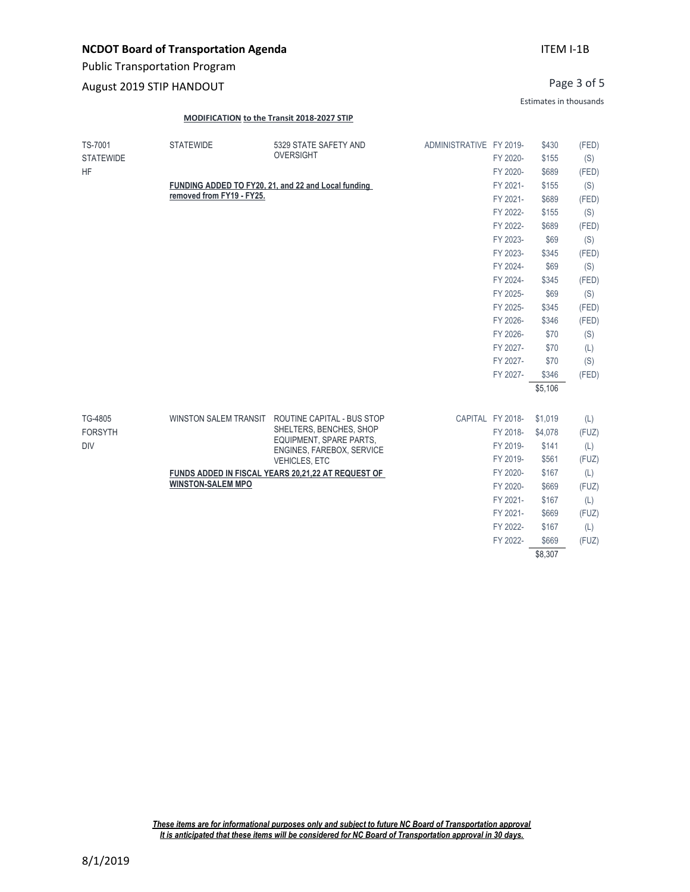Public Transportation Program

### August 2019 STIP HANDOUT

### ITEM I-1B

Page 3 of 5

Estimates in thousands

#### **MODIFICATION to the Transit 2018-2027 STIP**

| TS-7001<br><b>STATEWIDE</b><br>5329 STATE SAFETY AND<br>ADMINISTRATIVE FY 2019-<br>\$430<br>(FED)<br><b>OVERSIGHT</b><br><b>STATEWIDE</b><br>\$155<br>FY 2020-<br>(S)<br><b>HF</b><br>FY 2020-<br>\$689<br>(FED)<br>FUNDING ADDED TO FY20, 21, and 22 and Local funding<br>\$155<br>(S)<br>FY 2021-<br>removed from FY19 - FY25.<br>FY 2021-<br>\$689<br>(FED)<br>\$155<br>(S)<br>FY 2022-<br>FY 2022-<br>\$689<br>(FED)<br>FY 2023-<br>\$69<br>(S)<br>FY 2023-<br>\$345<br>(FED)<br>FY 2024-<br>\$69<br>(S)<br>FY 2024-<br>\$345<br>(FED)<br>FY 2025-<br>\$69<br>(S)<br>FY 2025-<br>\$345<br>(FED)<br>FY 2026-<br>\$346<br>(FED)<br>FY 2026-<br>\$70<br>(S)<br>FY 2027-<br>\$70<br>(L)<br>(S)<br>FY 2027-<br>\$70<br>FY 2027-<br>\$346<br>(FED)<br>\$5,106<br>TG-4805<br><b>WINSTON SALEM TRANSIT</b><br>ROUTINE CAPITAL - BUS STOP<br>CAPITAL FY 2018-<br>\$1,019<br>(L)<br>SHELTERS, BENCHES, SHOP<br><b>FORSYTH</b><br>FY 2018-<br>(FUZ)<br>\$4,078<br>EQUIPMENT, SPARE PARTS,<br><b>DIV</b><br>FY 2019-<br>\$141<br>(L)<br>ENGINES, FAREBOX, SERVICE<br>(FUZ)<br>FY 2019-<br>\$561<br><b>VEHICLES, ETC</b><br>FY 2020-<br>\$167<br>(L)<br>FUNDS ADDED IN FISCAL YEARS 20,21,22 AT REQUEST OF<br><b>WINSTON-SALEM MPO</b><br>FY 2020-<br>\$669<br>(FUZ)<br>FY 2021-<br>\$167<br>(L)<br>FY 2021-<br>\$669<br>(FUZ)<br>FY 2022-<br>\$167<br>(L)<br>FY 2022-<br>(FUZ)<br>\$669<br>\$8,307 |  |  |  |  |
|--------------------------------------------------------------------------------------------------------------------------------------------------------------------------------------------------------------------------------------------------------------------------------------------------------------------------------------------------------------------------------------------------------------------------------------------------------------------------------------------------------------------------------------------------------------------------------------------------------------------------------------------------------------------------------------------------------------------------------------------------------------------------------------------------------------------------------------------------------------------------------------------------------------------------------------------------------------------------------------------------------------------------------------------------------------------------------------------------------------------------------------------------------------------------------------------------------------------------------------------------------------------------------------------------------------------------------------------------------------------------------------------|--|--|--|--|
|                                                                                                                                                                                                                                                                                                                                                                                                                                                                                                                                                                                                                                                                                                                                                                                                                                                                                                                                                                                                                                                                                                                                                                                                                                                                                                                                                                                            |  |  |  |  |
|                                                                                                                                                                                                                                                                                                                                                                                                                                                                                                                                                                                                                                                                                                                                                                                                                                                                                                                                                                                                                                                                                                                                                                                                                                                                                                                                                                                            |  |  |  |  |
|                                                                                                                                                                                                                                                                                                                                                                                                                                                                                                                                                                                                                                                                                                                                                                                                                                                                                                                                                                                                                                                                                                                                                                                                                                                                                                                                                                                            |  |  |  |  |
|                                                                                                                                                                                                                                                                                                                                                                                                                                                                                                                                                                                                                                                                                                                                                                                                                                                                                                                                                                                                                                                                                                                                                                                                                                                                                                                                                                                            |  |  |  |  |
|                                                                                                                                                                                                                                                                                                                                                                                                                                                                                                                                                                                                                                                                                                                                                                                                                                                                                                                                                                                                                                                                                                                                                                                                                                                                                                                                                                                            |  |  |  |  |
|                                                                                                                                                                                                                                                                                                                                                                                                                                                                                                                                                                                                                                                                                                                                                                                                                                                                                                                                                                                                                                                                                                                                                                                                                                                                                                                                                                                            |  |  |  |  |
|                                                                                                                                                                                                                                                                                                                                                                                                                                                                                                                                                                                                                                                                                                                                                                                                                                                                                                                                                                                                                                                                                                                                                                                                                                                                                                                                                                                            |  |  |  |  |
|                                                                                                                                                                                                                                                                                                                                                                                                                                                                                                                                                                                                                                                                                                                                                                                                                                                                                                                                                                                                                                                                                                                                                                                                                                                                                                                                                                                            |  |  |  |  |
|                                                                                                                                                                                                                                                                                                                                                                                                                                                                                                                                                                                                                                                                                                                                                                                                                                                                                                                                                                                                                                                                                                                                                                                                                                                                                                                                                                                            |  |  |  |  |
|                                                                                                                                                                                                                                                                                                                                                                                                                                                                                                                                                                                                                                                                                                                                                                                                                                                                                                                                                                                                                                                                                                                                                                                                                                                                                                                                                                                            |  |  |  |  |
|                                                                                                                                                                                                                                                                                                                                                                                                                                                                                                                                                                                                                                                                                                                                                                                                                                                                                                                                                                                                                                                                                                                                                                                                                                                                                                                                                                                            |  |  |  |  |
|                                                                                                                                                                                                                                                                                                                                                                                                                                                                                                                                                                                                                                                                                                                                                                                                                                                                                                                                                                                                                                                                                                                                                                                                                                                                                                                                                                                            |  |  |  |  |
|                                                                                                                                                                                                                                                                                                                                                                                                                                                                                                                                                                                                                                                                                                                                                                                                                                                                                                                                                                                                                                                                                                                                                                                                                                                                                                                                                                                            |  |  |  |  |
|                                                                                                                                                                                                                                                                                                                                                                                                                                                                                                                                                                                                                                                                                                                                                                                                                                                                                                                                                                                                                                                                                                                                                                                                                                                                                                                                                                                            |  |  |  |  |
|                                                                                                                                                                                                                                                                                                                                                                                                                                                                                                                                                                                                                                                                                                                                                                                                                                                                                                                                                                                                                                                                                                                                                                                                                                                                                                                                                                                            |  |  |  |  |
|                                                                                                                                                                                                                                                                                                                                                                                                                                                                                                                                                                                                                                                                                                                                                                                                                                                                                                                                                                                                                                                                                                                                                                                                                                                                                                                                                                                            |  |  |  |  |
|                                                                                                                                                                                                                                                                                                                                                                                                                                                                                                                                                                                                                                                                                                                                                                                                                                                                                                                                                                                                                                                                                                                                                                                                                                                                                                                                                                                            |  |  |  |  |
|                                                                                                                                                                                                                                                                                                                                                                                                                                                                                                                                                                                                                                                                                                                                                                                                                                                                                                                                                                                                                                                                                                                                                                                                                                                                                                                                                                                            |  |  |  |  |
|                                                                                                                                                                                                                                                                                                                                                                                                                                                                                                                                                                                                                                                                                                                                                                                                                                                                                                                                                                                                                                                                                                                                                                                                                                                                                                                                                                                            |  |  |  |  |
|                                                                                                                                                                                                                                                                                                                                                                                                                                                                                                                                                                                                                                                                                                                                                                                                                                                                                                                                                                                                                                                                                                                                                                                                                                                                                                                                                                                            |  |  |  |  |
|                                                                                                                                                                                                                                                                                                                                                                                                                                                                                                                                                                                                                                                                                                                                                                                                                                                                                                                                                                                                                                                                                                                                                                                                                                                                                                                                                                                            |  |  |  |  |
|                                                                                                                                                                                                                                                                                                                                                                                                                                                                                                                                                                                                                                                                                                                                                                                                                                                                                                                                                                                                                                                                                                                                                                                                                                                                                                                                                                                            |  |  |  |  |
|                                                                                                                                                                                                                                                                                                                                                                                                                                                                                                                                                                                                                                                                                                                                                                                                                                                                                                                                                                                                                                                                                                                                                                                                                                                                                                                                                                                            |  |  |  |  |
|                                                                                                                                                                                                                                                                                                                                                                                                                                                                                                                                                                                                                                                                                                                                                                                                                                                                                                                                                                                                                                                                                                                                                                                                                                                                                                                                                                                            |  |  |  |  |
|                                                                                                                                                                                                                                                                                                                                                                                                                                                                                                                                                                                                                                                                                                                                                                                                                                                                                                                                                                                                                                                                                                                                                                                                                                                                                                                                                                                            |  |  |  |  |
|                                                                                                                                                                                                                                                                                                                                                                                                                                                                                                                                                                                                                                                                                                                                                                                                                                                                                                                                                                                                                                                                                                                                                                                                                                                                                                                                                                                            |  |  |  |  |
|                                                                                                                                                                                                                                                                                                                                                                                                                                                                                                                                                                                                                                                                                                                                                                                                                                                                                                                                                                                                                                                                                                                                                                                                                                                                                                                                                                                            |  |  |  |  |
|                                                                                                                                                                                                                                                                                                                                                                                                                                                                                                                                                                                                                                                                                                                                                                                                                                                                                                                                                                                                                                                                                                                                                                                                                                                                                                                                                                                            |  |  |  |  |
|                                                                                                                                                                                                                                                                                                                                                                                                                                                                                                                                                                                                                                                                                                                                                                                                                                                                                                                                                                                                                                                                                                                                                                                                                                                                                                                                                                                            |  |  |  |  |
|                                                                                                                                                                                                                                                                                                                                                                                                                                                                                                                                                                                                                                                                                                                                                                                                                                                                                                                                                                                                                                                                                                                                                                                                                                                                                                                                                                                            |  |  |  |  |

*These items are for informational purposes only and subject to future NC Board of Transportation approval It is anticipated that these items will be considered for NC Board of Transportation approval in 30 days.*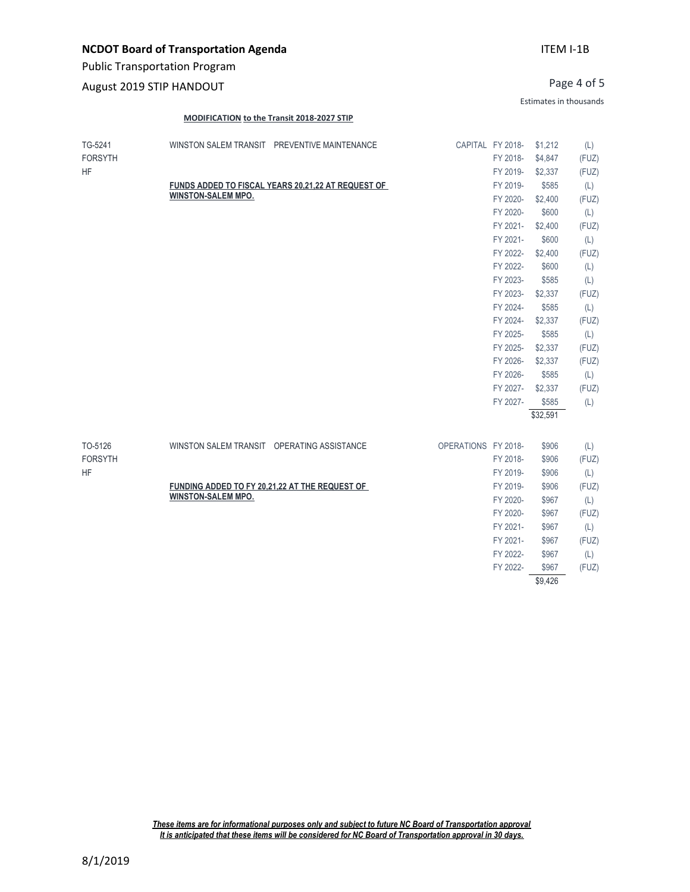August 2019 STIP HANDOUT

Page 4 of 5

Estimates in thousands

### **MODIFICATION to the Transit 2018-2027 STIP**

| TG-5241<br><b>FORSYTH</b> | WINSTON SALEM TRANSIT PREVENTIVE MAINTENANCE       | CAPITAL FY 2018-<br>FY 2018- | \$1,212<br>\$4,847 | (L)<br>(FUZ) |
|---------------------------|----------------------------------------------------|------------------------------|--------------------|--------------|
| <b>HF</b>                 |                                                    | FY 2019-                     | \$2,337            | (FUZ)        |
|                           | FUNDS ADDED TO FISCAL YEARS 20,21,22 AT REQUEST OF | FY 2019-                     | \$585              | (L)          |
|                           | <b>WINSTON-SALEM MPO.</b>                          | FY 2020-                     | \$2,400            | (FUZ)        |
|                           |                                                    | FY 2020-                     | \$600              | (L)          |
|                           |                                                    | FY 2021-                     | \$2,400            | (FUZ)        |
|                           |                                                    | FY 2021-                     | \$600              | (L)          |
|                           |                                                    | FY 2022-                     | \$2,400            | (FUZ)        |
|                           |                                                    | FY 2022-                     | \$600              | (L)          |
|                           |                                                    | FY 2023-                     | \$585              | (L)          |
|                           |                                                    | FY 2023-                     | \$2,337            | (FUZ)        |
|                           |                                                    | FY 2024-                     | \$585              | (L)          |
|                           |                                                    | FY 2024-                     | \$2,337            | (FUZ)        |
|                           |                                                    | FY 2025-                     | \$585              | (L)          |
|                           |                                                    | FY 2025-                     | \$2,337            | (FUZ)        |
|                           |                                                    | FY 2026-                     | \$2,337            | (FUZ)        |
|                           |                                                    | FY 2026-                     | \$585              | (L)          |
|                           |                                                    | FY 2027-                     | \$2,337            | (FUZ)        |
|                           |                                                    | FY 2027-                     | \$585              | (L)          |
|                           |                                                    |                              | \$32,591           |              |
| TO-5126                   | WINSTON SALEM TRANSIT OPERATING ASSISTANCE         | OPERATIONS FY 2018-          | \$906              | (L)          |
| <b>FORSYTH</b>            |                                                    | FY 2018-                     | \$906              | (FUZ)        |
| <b>HF</b>                 |                                                    | FY 2019-                     | \$906              | (L)          |
|                           | FUNDING ADDED TO FY 20,21,22 AT THE REQUEST OF     | FY 2019-                     | \$906              | (FUZ)        |
|                           | <b>WINSTON-SALEM MPO.</b>                          | FY 2020-                     | \$967              | (L)          |
|                           |                                                    | FY 2020-                     | \$967              | (FUZ)        |
|                           |                                                    | FY 2021-                     | \$967              | (L)          |
|                           |                                                    | FY 2021-                     | \$967              | (FUZ)        |
|                           |                                                    | FY 2022-                     | \$967              | (L)          |
|                           |                                                    | FY 2022-                     | \$967              | (FUZ)        |
|                           |                                                    |                              | \$9.426            |              |

*These items are for informational purposes only and subject to future NC Board of Transportation approval It is anticipated that these items will be considered for NC Board of Transportation approval in 30 days.*